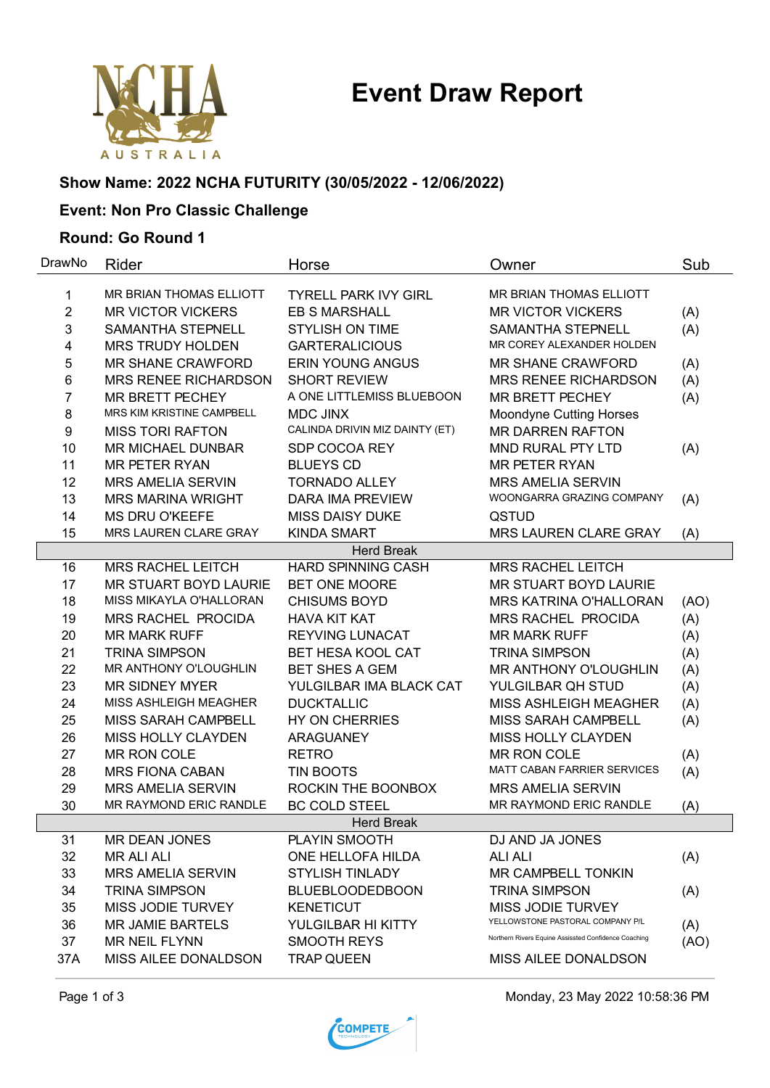# **Event Draw Report**



# **Show Name: 2022 NCHA FUTURITY (30/05/2022 - 12/06/2022)**

# **Event: Non Pro Classic Challenge**

#### **Round: Go Round 1**

| DrawNo            | Rider                        | Horse                          | Owner                                                | Sub  |  |  |  |  |
|-------------------|------------------------------|--------------------------------|------------------------------------------------------|------|--|--|--|--|
| 1                 | MR BRIAN THOMAS ELLIOTT      | <b>TYRELL PARK IVY GIRL</b>    | MR BRIAN THOMAS ELLIOTT                              |      |  |  |  |  |
| $\overline{2}$    | <b>MR VICTOR VICKERS</b>     | <b>EB S MARSHALL</b>           | <b>MR VICTOR VICKERS</b>                             | (A)  |  |  |  |  |
| 3                 | <b>SAMANTHA STEPNELL</b>     | <b>STYLISH ON TIME</b>         | <b>SAMANTHA STEPNELL</b>                             | (A)  |  |  |  |  |
| 4                 | <b>MRS TRUDY HOLDEN</b>      | <b>GARTERALICIOUS</b>          | MR COREY ALEXANDER HOLDEN                            |      |  |  |  |  |
| 5                 | <b>MR SHANE CRAWFORD</b>     | <b>ERIN YOUNG ANGUS</b>        | <b>MR SHANE CRAWFORD</b>                             | (A)  |  |  |  |  |
| 6                 | <b>MRS RENEE RICHARDSON</b>  | <b>SHORT REVIEW</b>            | <b>MRS RENEE RICHARDSON</b>                          | (A)  |  |  |  |  |
| 7                 | <b>MR BRETT PECHEY</b>       | A ONE LITTLEMISS BLUEBOON      | MR BRETT PECHEY                                      | (A)  |  |  |  |  |
| 8                 | MRS KIM KRISTINE CAMPBELL    | <b>MDC JINX</b>                | <b>Moondyne Cutting Horses</b>                       |      |  |  |  |  |
| 9                 | <b>MISS TORI RAFTON</b>      | CALINDA DRIVIN MIZ DAINTY (ET) | <b>MR DARREN RAFTON</b>                              |      |  |  |  |  |
| 10                | <b>MR MICHAEL DUNBAR</b>     | SDP COCOA REY                  | MND RURAL PTY LTD                                    | (A)  |  |  |  |  |
| 11                | <b>MR PETER RYAN</b>         | <b>BLUEYS CD</b>               | <b>MR PETER RYAN</b>                                 |      |  |  |  |  |
| 12                | <b>MRS AMELIA SERVIN</b>     | <b>TORNADO ALLEY</b>           | <b>MRS AMELIA SERVIN</b>                             |      |  |  |  |  |
| 13                | <b>MRS MARINA WRIGHT</b>     | <b>DARA IMA PREVIEW</b>        | WOONGARRA GRAZING COMPANY                            | (A)  |  |  |  |  |
| 14                | <b>MS DRU O'KEEFE</b>        | <b>MISS DAISY DUKE</b>         | QSTUD                                                |      |  |  |  |  |
| 15                | MRS LAUREN CLARE GRAY        | <b>KINDA SMART</b>             | MRS LAUREN CLARE GRAY                                | (A)  |  |  |  |  |
|                   |                              | <b>Herd Break</b>              |                                                      |      |  |  |  |  |
| 16                | <b>MRS RACHEL LEITCH</b>     | <b>HARD SPINNING CASH</b>      | <b>MRS RACHEL LEITCH</b>                             |      |  |  |  |  |
| 17                | MR STUART BOYD LAURIE        | BET ONE MOORE                  | MR STUART BOYD LAURIE                                |      |  |  |  |  |
| 18                | MISS MIKAYLA O'HALLORAN      | <b>CHISUMS BOYD</b>            | MRS KATRINA O'HALLORAN                               | (AO) |  |  |  |  |
| 19                | MRS RACHEL PROCIDA           | <b>HAVA KIT KAT</b>            | MRS RACHEL PROCIDA                                   | (A)  |  |  |  |  |
| 20                | <b>MR MARK RUFF</b>          | <b>REYVING LUNACAT</b>         | <b>MR MARK RUFF</b>                                  | (A)  |  |  |  |  |
| 21                | <b>TRINA SIMPSON</b>         | <b>BET HESA KOOL CAT</b>       | <b>TRINA SIMPSON</b>                                 | (A)  |  |  |  |  |
| 22                | MR ANTHONY O'LOUGHLIN        | <b>BET SHES A GEM</b>          | MR ANTHONY O'LOUGHLIN                                | (A)  |  |  |  |  |
| 23                | <b>MR SIDNEY MYER</b>        | YULGILBAR IMA BLACK CAT        | YULGILBAR QH STUD                                    | (A)  |  |  |  |  |
| 24                | <b>MISS ASHLEIGH MEAGHER</b> | <b>DUCKTALLIC</b>              | MISS ASHLEIGH MEAGHER                                | (A)  |  |  |  |  |
| 25                | MISS SARAH CAMPBELL          | <b>HY ON CHERRIES</b>          | MISS SARAH CAMPBELL                                  | (A)  |  |  |  |  |
| 26                | <b>MISS HOLLY CLAYDEN</b>    | <b>ARAGUANEY</b>               | MISS HOLLY CLAYDEN                                   |      |  |  |  |  |
| 27                | <b>MR RON COLE</b>           | <b>RETRO</b>                   | MR RON COLE                                          | (A)  |  |  |  |  |
| 28                | <b>MRS FIONA CABAN</b>       | <b>TIN BOOTS</b>               | MATT CABAN FARRIER SERVICES                          | (A)  |  |  |  |  |
| 29                | <b>MRS AMELIA SERVIN</b>     | ROCKIN THE BOONBOX             | <b>MRS AMELIA SERVIN</b>                             |      |  |  |  |  |
| 30                | MR RAYMOND ERIC RANDLE       | <b>BC COLD STEEL</b>           | MR RAYMOND ERIC RANDLE                               | (A)  |  |  |  |  |
| <b>Herd Break</b> |                              |                                |                                                      |      |  |  |  |  |
| 31                | <b>MR DEAN JONES</b>         | PLAYIN SMOOTH                  | DJ AND JA JONES                                      |      |  |  |  |  |
| 32                | <b>MR ALI ALI</b>            | ONE HELLOFA HILDA              | <b>ALI ALI</b>                                       | (A)  |  |  |  |  |
| 33                | <b>MRS AMELIA SERVIN</b>     | <b>STYLISH TINLADY</b>         | MR CAMPBELL TONKIN                                   |      |  |  |  |  |
| 34                | <b>TRINA SIMPSON</b>         | <b>BLUEBLOODEDBOON</b>         | <b>TRINA SIMPSON</b>                                 | (A)  |  |  |  |  |
| 35                | MISS JODIE TURVEY            | <b>KENETICUT</b>               | <b>MISS JODIE TURVEY</b>                             |      |  |  |  |  |
| 36                | <b>MR JAMIE BARTELS</b>      | YULGILBAR HI KITTY             | YELLOWSTONE PASTORAL COMPANY P/L                     | (A)  |  |  |  |  |
| 37                | MR NEIL FLYNN                | <b>SMOOTH REYS</b>             | Northern Rivers Equine Assissted Confidence Coaching | (AO) |  |  |  |  |
| 37A               | MISS AILEE DONALDSON         | <b>TRAP QUEEN</b>              | MISS AILEE DONALDSON                                 |      |  |  |  |  |



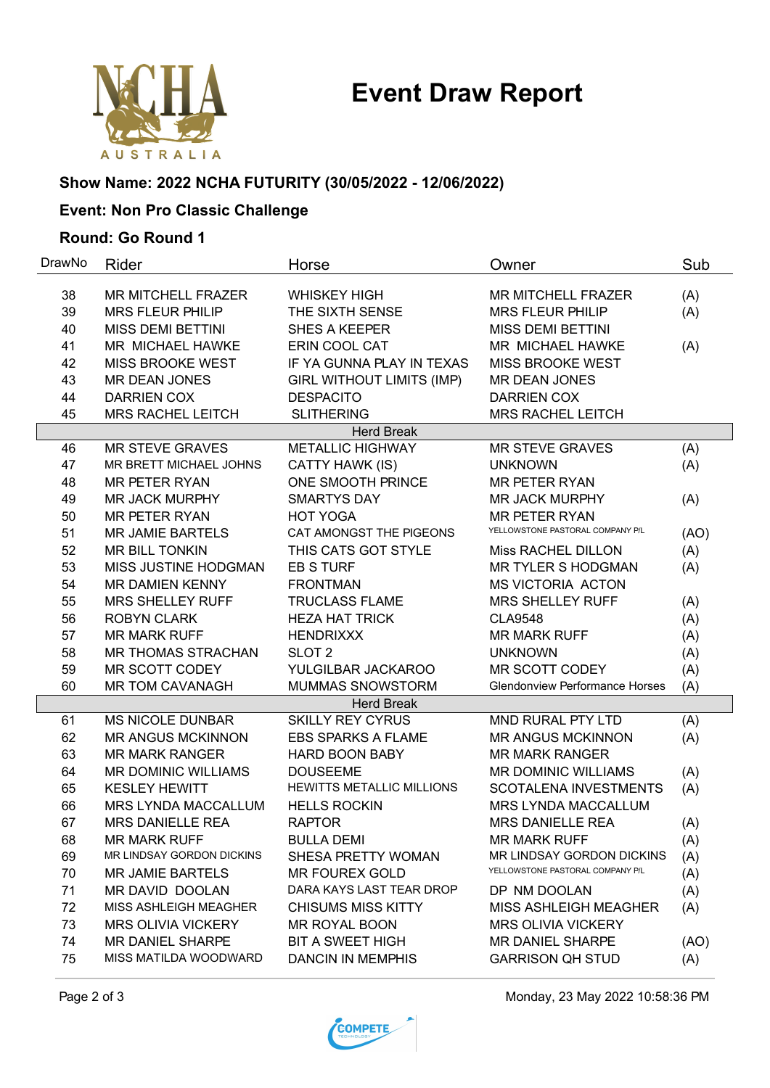# **Event Draw Report**



## **Show Name: 2022 NCHA FUTURITY (30/05/2022 - 12/06/2022)**

# **Event: Non Pro Classic Challenge**

#### **Round: Go Round 1**

| DrawNo | Rider                        | Horse                            | Owner                                 | Sub  |
|--------|------------------------------|----------------------------------|---------------------------------------|------|
| 38     | <b>MR MITCHELL FRAZER</b>    | <b>WHISKEY HIGH</b>              | <b>MR MITCHELL FRAZER</b>             | (A)  |
| 39     | <b>MRS FLEUR PHILIP</b>      | THE SIXTH SENSE                  | <b>MRS FLEUR PHILIP</b>               | (A)  |
| 40     | <b>MISS DEMI BETTINI</b>     | <b>SHES A KEEPER</b>             | <b>MISS DEMI BETTINI</b>              |      |
| 41     | <b>MR MICHAEL HAWKE</b>      | ERIN COOL CAT                    | <b>MR MICHAEL HAWKE</b>               | (A)  |
| 42     | <b>MISS BROOKE WEST</b>      | IF YA GUNNA PLAY IN TEXAS        | <b>MISS BROOKE WEST</b>               |      |
| 43     | <b>MR DEAN JONES</b>         | <b>GIRL WITHOUT LIMITS (IMP)</b> | MR DEAN JONES                         |      |
| 44     | <b>DARRIEN COX</b>           | <b>DESPACITO</b>                 | <b>DARRIEN COX</b>                    |      |
| 45     | <b>MRS RACHEL LEITCH</b>     | <b>SLITHERING</b>                | <b>MRS RACHEL LEITCH</b>              |      |
|        |                              | <b>Herd Break</b>                |                                       |      |
| 46     | <b>MR STEVE GRAVES</b>       | <b>METALLIC HIGHWAY</b>          | <b>MR STEVE GRAVES</b>                | (A)  |
| 47     | MR BRETT MICHAEL JOHNS       | CATTY HAWK (IS)                  | <b>UNKNOWN</b>                        | (A)  |
| 48     | <b>MR PETER RYAN</b>         | ONE SMOOTH PRINCE                | <b>MR PETER RYAN</b>                  |      |
| 49     | <b>MR JACK MURPHY</b>        | <b>SMARTYS DAY</b>               | <b>MR JACK MURPHY</b>                 | (A)  |
| 50     | <b>MR PETER RYAN</b>         | <b>HOT YOGA</b>                  | <b>MR PETER RYAN</b>                  |      |
| 51     | <b>MR JAMIE BARTELS</b>      | CAT AMONGST THE PIGEONS          | YELLOWSTONE PASTORAL COMPANY P/L      | (AO) |
| 52     | <b>MR BILL TONKIN</b>        | THIS CATS GOT STYLE              | Miss RACHEL DILLON                    | (A)  |
| 53     | MISS JUSTINE HODGMAN         | <b>EB S TURF</b>                 | <b>MR TYLER S HODGMAN</b>             | (A)  |
| 54     | <b>MR DAMIEN KENNY</b>       | <b>FRONTMAN</b>                  | MS VICTORIA ACTON                     |      |
| 55     | <b>MRS SHELLEY RUFF</b>      | <b>TRUCLASS FLAME</b>            | <b>MRS SHELLEY RUFF</b>               | (A)  |
| 56     | <b>ROBYN CLARK</b>           | <b>HEZA HAT TRICK</b>            | <b>CLA9548</b>                        | (A)  |
| 57     | <b>MR MARK RUFF</b>          | <b>HENDRIXXX</b>                 | <b>MR MARK RUFF</b>                   | (A)  |
| 58     | <b>MR THOMAS STRACHAN</b>    | SLOT <sub>2</sub>                | <b>UNKNOWN</b>                        | (A)  |
| 59     | MR SCOTT CODEY               | YULGILBAR JACKAROO               | <b>MR SCOTT CODEY</b>                 | (A)  |
| 60     | <b>MR TOM CAVANAGH</b>       | MUMMAS SNOWSTORM                 | <b>Glendonview Performance Horses</b> | (A)  |
|        |                              | <b>Herd Break</b>                |                                       |      |
| 61     | <b>MS NICOLE DUNBAR</b>      | <b>SKILLY REY CYRUS</b>          | MND RURAL PTY LTD                     | (A)  |
| 62     | <b>MR ANGUS MCKINNON</b>     | <b>EBS SPARKS A FLAME</b>        | <b>MR ANGUS MCKINNON</b>              | (A)  |
| 63     | <b>MR MARK RANGER</b>        | <b>HARD BOON BABY</b>            | <b>MR MARK RANGER</b>                 |      |
| 64     | MR DOMINIC WILLIAMS          | <b>DOUSEEME</b>                  | <b>MR DOMINIC WILLIAMS</b>            | (A)  |
| 65     | <b>KESLEY HEWITT</b>         | <b>HEWITTS METALLIC MILLIONS</b> | <b>SCOTALENA INVESTMENTS</b>          | (A)  |
| 66     | <b>MRS LYNDA MACCALLUM</b>   | <b>HELLS ROCKIN</b>              | <b>MRS LYNDA MACCALLUM</b>            |      |
| 67     | <b>MRS DANIELLE REA</b>      | <b>RAPTOR</b>                    | <b>MRS DANIELLE REA</b>               | (A)  |
| 68     | <b>MR MARK RUFF</b>          | <b>BULLA DEMI</b>                | <b>MR MARK RUFF</b>                   | (A)  |
| 69     | MR LINDSAY GORDON DICKINS    | SHESA PRETTY WOMAN               | MR LINDSAY GORDON DICKINS             | (A)  |
| 70     | <b>MR JAMIE BARTELS</b>      | <b>MR FOUREX GOLD</b>            | YELLOWSTONE PASTORAL COMPANY P/L      | (A)  |
| 71     | <b>MR DAVID DOOLAN</b>       | DARA KAYS LAST TEAR DROP         | DP NM DOOLAN                          | (A)  |
| 72     | <b>MISS ASHLEIGH MEAGHER</b> | <b>CHISUMS MISS KITTY</b>        | <b>MISS ASHLEIGH MEAGHER</b>          | (A)  |
| 73     | <b>MRS OLIVIA VICKERY</b>    | MR ROYAL BOON                    | <b>MRS OLIVIA VICKERY</b>             |      |
| 74     | <b>MR DANIEL SHARPE</b>      | <b>BIT A SWEET HIGH</b>          | MR DANIEL SHARPE                      | (AO) |
| 75     | MISS MATILDA WOODWARD        | <b>DANCIN IN MEMPHIS</b>         | <b>GARRISON QH STUD</b>               | (A)  |